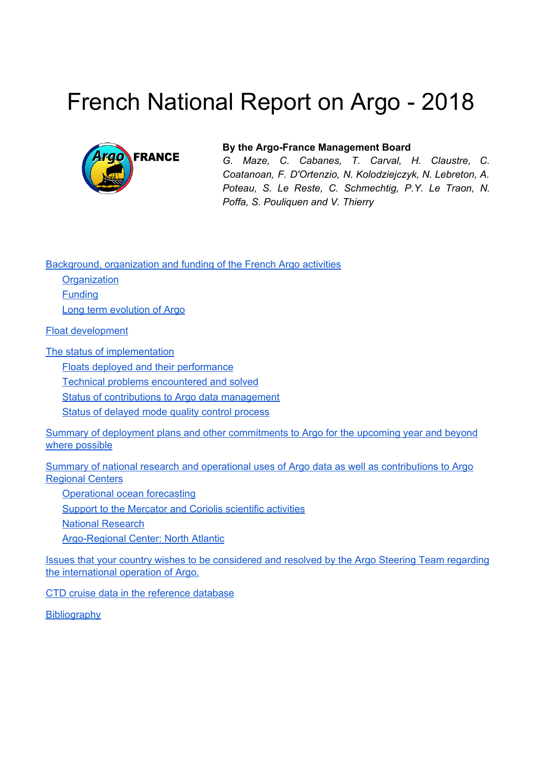# French National Report on Argo - 2018



#### **By the Argo-France Management Board**

*G. Maze, C. Cabanes, T. Carval, H. Claustre, C. Coatanoan, F. D'Ortenzio, N. Kolodziejczyk, N. Lebreton, A. Poteau, S. Le Reste, C. Schmechtig, P.Y. Le Traon, N. Poffa, S. Pouliquen and V. Thierry*

[Background,](#page-1-0) organization and funding of the French Argo activities

**[Organization](#page-1-1) [Funding](#page-1-2)** 

Long term [evolution](#page-3-0) of Argo

Float [development](#page-3-1)

The status of [implementation](#page-4-0)

Floats deployed and their [performance](#page-4-1)

Technical problems [encountered](#page-5-0) and solved

Status of contributions to Argo data [management](#page-5-1)

Status of [delayed](#page-7-0) mode quality control process

Summary of deployment plans and other [commitments](#page-8-0) to Argo for the upcoming year and beyond where [possible](#page-8-0)

Summary of national research and operational uses of Argo data as well as [contributions](#page-9-0) to Argo [Regional](#page-9-0) Centers

[Operational](#page-9-1) ocean forecasting

Support to the [Mercator](#page-9-2) and Coriolis scientific activities

National [Research](#page-10-0)

[Argo-Regional](#page-10-1) Center: North Atlantic

Issues that your country wishes to be [considered](#page-10-2) and resolved by the Argo Steering Team regarding the [international](#page-10-2) operation of Argo.

CTD cruise data in the [reference](#page-10-3) database

**[Bibliography](#page-11-0)**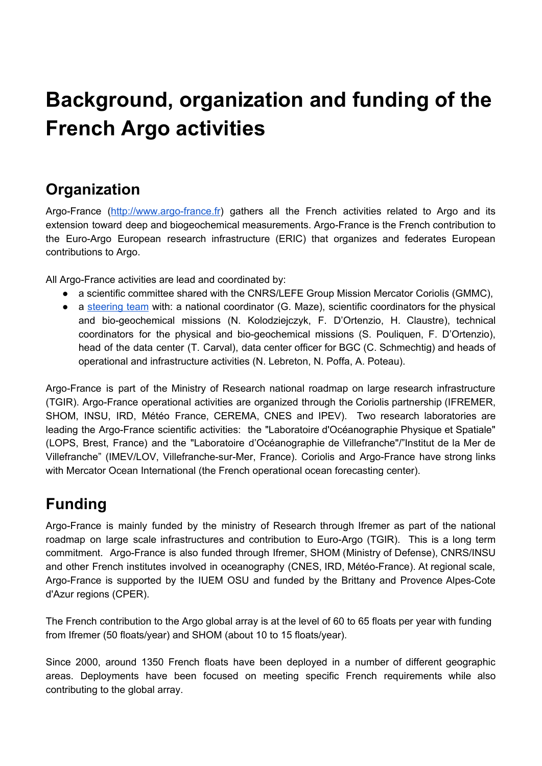## <span id="page-1-0"></span>**Background, organization and funding of the French Argo activities**

## <span id="page-1-1"></span>**Organization**

Argo-France [\(http://www.argo-france.fr](http://www.argo-france.fr/)) gathers all the French activities related to Argo and its extension toward deep and biogeochemical measurements. Argo-France is the French contribution to the Euro-Argo European research infrastructure (ERIC) that organizes and federates European contributions to Argo.

All Argo-France activities are lead and coordinated by:

- a scientific committee shared with the CNRS/LEFE Group Mission Mercator Coriolis (GMMC),
- a [steering](http://www.argo-france.fr/copil) team with: a national coordinator (G. Maze), scientific coordinators for the physical and bio-geochemical missions (N. Kolodziejczyk, F. D'Ortenzio, H. Claustre), technical coordinators for the physical and bio-geochemical missions (S. Pouliquen, F. D'Ortenzio), head of the data center (T. Carval), data center officer for BGC (C. Schmechtig) and heads of operational and infrastructure activities (N. Lebreton, N. Poffa, A. Poteau).

Argo-France is part of the Ministry of Research national roadmap on large research infrastructure (TGIR). Argo-France operational activities are organized through the Coriolis partnership (IFREMER, SHOM, INSU, IRD, Météo France, CEREMA, CNES and IPEV). Two research laboratories are leading the Argo-France scientific activities: the "Laboratoire d'Océanographie Physique et Spatiale" (LOPS, Brest, France) and the "Laboratoire d'Océanographie de Villefranche"/"Institut de la Mer de Villefranche" (IMEV/LOV, Villefranche-sur-Mer, France). Coriolis and Argo-France have strong links with Mercator Ocean International (the French operational ocean forecasting center).

## <span id="page-1-2"></span>**Funding**

Argo-France is mainly funded by the ministry of Research through Ifremer as part of the national roadmap on large scale infrastructures and contribution to Euro-Argo (TGIR). This is a long term commitment. Argo-France is also funded through Ifremer, SHOM (Ministry of Defense), CNRS/INSU and other French institutes involved in oceanography (CNES, IRD, Météo-France). At regional scale, Argo-France is supported by the IUEM OSU and funded by the Brittany and Provence Alpes-Cote d'Azur regions (CPER).

The French contribution to the Argo global array is at the level of 60 to 65 floats per year with funding from Ifremer (50 floats/year) and SHOM (about 10 to 15 floats/year).

Since 2000, around 1350 French floats have been deployed in a number of different geographic areas. Deployments have been focused on meeting specific French requirements while also contributing to the global array.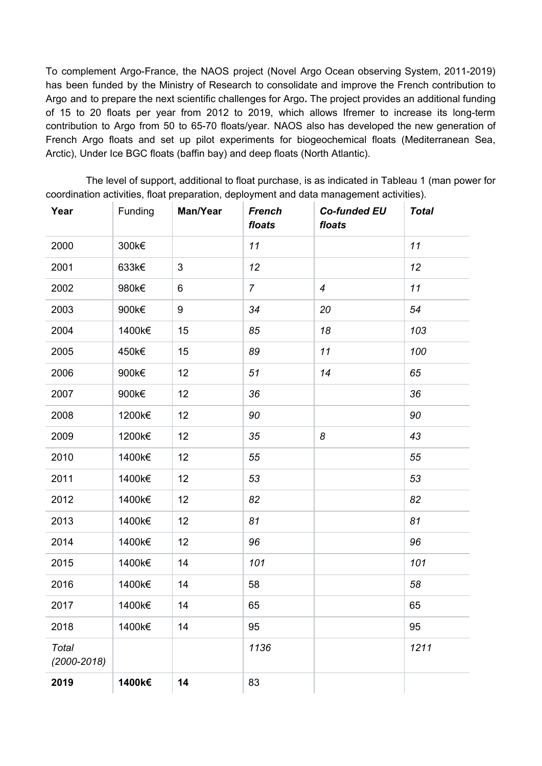To complement Argo-France, the NAOS project (Novel Argo Ocean observing System, 2011-2019) has been funded by the Ministry of Research to consolidate and improve the French contribution to Argo and to prepare the next scientific challenges for Argo**.** The project provides an additional funding of 15 to 20 floats per year from 2012 to 2019, which allows Ifremer to increase its long-term contribution to Argo from 50 to 65-70 floats/year. NAOS also has developed the new generation of French Argo floats and set up pilot experiments for biogeochemical floats (Mediterranean Sea, Arctic), Under Ice BGC floats (baffin bay) and deep floats (North Atlantic).

The level of support, additional to float purchase, is as indicated in Tableau 1 (man power for coordination activities, float preparation, deployment and data management activities).

| Year                     | Funding | Man/Year | <b>French</b><br>floats | <b>Co-funded EU</b><br>floats | <b>Total</b> |
|--------------------------|---------|----------|-------------------------|-------------------------------|--------------|
| 2000                     | 300k€   |          | 11                      |                               | 11           |
| 2001                     | 633k€   | 3        | 12                      |                               | 12           |
| 2002                     | 980k€   | 6        | $\overline{7}$          | $\boldsymbol{4}$              | 11           |
| 2003                     | 900k€   | 9        | 34                      | 20                            | 54           |
| 2004                     | 1400k€  | 15       | 85                      | 18                            | 103          |
| 2005                     | 450k€   | 15       | 89                      | 11                            | 100          |
| 2006                     | 900k€   | 12       | 51                      | 14                            | 65           |
| 2007                     | 900k€   | 12       | 36                      |                               | 36           |
| 2008                     | 1200k€  | 12       | 90                      |                               | 90           |
| 2009                     | 1200k€  | 12       | 35                      | 8                             | 43           |
| 2010                     | 1400k€  | 12       | 55                      |                               | 55           |
| 2011                     | 1400k€  | 12       | 53                      |                               | 53           |
| 2012                     | 1400k€  | 12       | 82                      |                               | 82           |
| 2013                     | 1400k€  | 12       | 81                      |                               | 81           |
| 2014                     | 1400k€  | 12       | 96                      |                               | 96           |
| 2015                     | 1400k€  | 14       | 101                     |                               | 101          |
| 2016                     | 1400k€  | 14       | 58                      |                               | 58           |
| 2017                     | 1400k€  | 14       | 65                      |                               | 65           |
| 2018                     | 1400k€  | 14       | 95                      |                               | 95           |
| Total<br>$(2000 - 2018)$ |         |          | 1136                    |                               | 1211         |
| 2019                     | 1400k€  | 14       | 83                      |                               |              |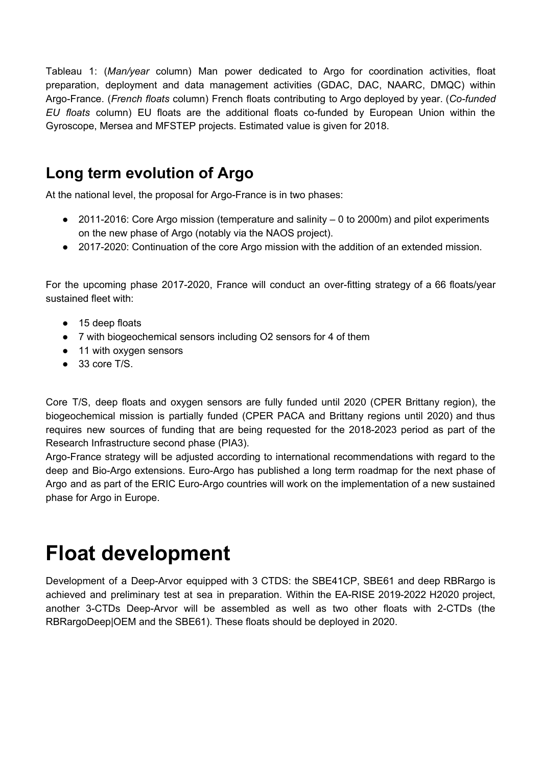Tableau 1: (*Man/year* column) Man power dedicated to Argo for coordination activities, float preparation, deployment and data management activities (GDAC, DAC, NAARC, DMQC) within Argo-France. (*French floats* column) French floats contributing to Argo deployed by year. (*Co-funded EU floats* column) EU floats are the additional floats co-funded by European Union within the Gyroscope, Mersea and MFSTEP projects. Estimated value is given for 2018.

## <span id="page-3-0"></span>**Long term evolution of Argo**

At the national level, the proposal for Argo-France is in two phases:

- 2011-2016: Core Argo mission (temperature and salinity 0 to 2000m) and pilot experiments on the new phase of Argo (notably via the NAOS project).
- 2017-2020: Continuation of the core Argo mission with the addition of an extended mission.

For the upcoming phase 2017-2020, France will conduct an over-fitting strategy of a 66 floats/year sustained fleet with:

- 15 deep floats
- 7 with biogeochemical sensors including O2 sensors for 4 of them
- 11 with oxygen sensors
- 33 core T/S.

Core T/S, deep floats and oxygen sensors are fully funded until 2020 (CPER Brittany region), the biogeochemical mission is partially funded (CPER PACA and Brittany regions until 2020) and thus requires new sources of funding that are being requested for the 2018-2023 period as part of the Research Infrastructure second phase (PIA3).

Argo-France strategy will be adjusted according to international recommendations with regard to the deep and Bio-Argo extensions. Euro-Argo has published a long term roadmap for the next phase of Argo and as part of the ERIC Euro-Argo countries will work on the implementation of a new sustained phase for Argo in Europe.

## <span id="page-3-1"></span>**Float development**

Development of a Deep-Arvor equipped with 3 CTDS: the SBE41CP, SBE61 and deep RBRargo is achieved and preliminary test at sea in preparation. Within the EA-RISE 2019-2022 H2020 project, another 3-CTDs Deep-Arvor will be assembled as well as two other floats with 2-CTDs (the RBRargoDeep|OEM and the SBE61). These floats should be deployed in 2020.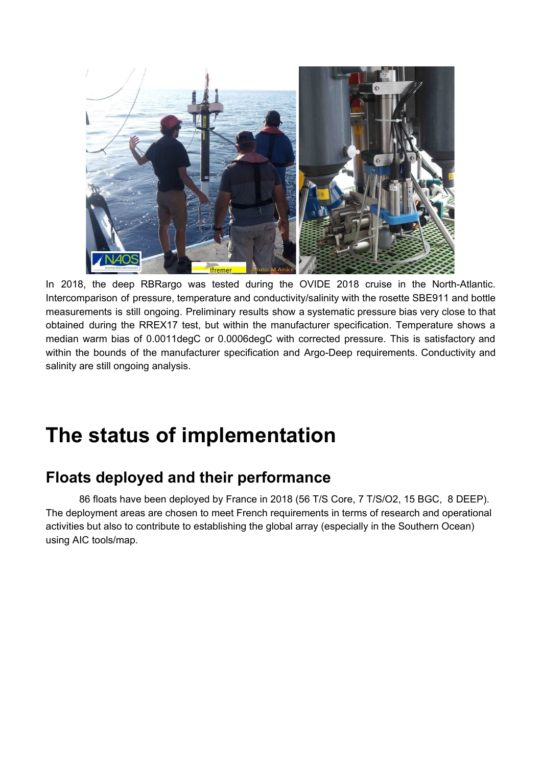

In 2018, the deep RBRargo was tested during the OVIDE 2018 cruise in the North-Atlantic. Intercomparison of pressure, temperature and conductivity/salinity with the rosette SBE911 and bottle measurements is still ongoing. Preliminary results show a systematic pressure bias very close to that obtained during the RREX17 test, but within the manufacturer specification. Temperature shows a median warm bias of 0.0011degC or 0.0006degC with corrected pressure. This is satisfactory and within the bounds of the manufacturer specification and Argo-Deep requirements. Conductivity and salinity are still ongoing analysis.

## <span id="page-4-0"></span>**The status of implementation**

## <span id="page-4-1"></span>**Floats deployed and their performance**

86 floats have been deployed by France in 2018 (56 T/S Core, 7 T/S/O2, 15 BGC, 8 DEEP). The deployment areas are chosen to meet French requirements in terms of research and operational activities but also to contribute to establishing the global array (especially in the Southern Ocean) using AIC tools/map.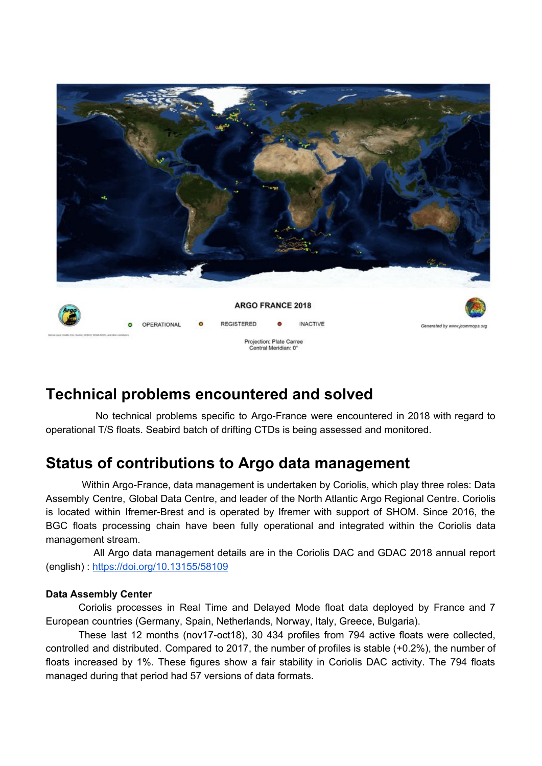

### <span id="page-5-0"></span>**Technical problems encountered and solved**

No technical problems specific to Argo-France were encountered in 2018 with regard to operational T/S floats. Seabird batch of drifting CTDs is being assessed and monitored.

## <span id="page-5-1"></span>**Status of contributions to Argo data management**

Within Argo-France, data management is undertaken by Coriolis, which play three roles: Data Assembly Centre, Global Data Centre, and leader of the North Atlantic Argo Regional Centre. Coriolis is located within Ifremer-Brest and is operated by Ifremer with support of SHOM. Since 2016, the BGC floats processing chain have been fully operational and integrated within the Coriolis data management stream.

All Argo data management details are in the Coriolis DAC and GDAC 2018 annual report (english) : <https://doi.org/10.13155/58109>

#### **Data Assembly Center**

Coriolis processes in Real Time and Delayed Mode float data deployed by France and 7 European countries (Germany, Spain, Netherlands, Norway, Italy, Greece, Bulgaria).

These last 12 months (nov17-oct18), 30 434 profiles from 794 active floats were collected, controlled and distributed. Compared to 2017, the number of profiles is stable (+0.2%), the number of floats increased by 1%. These figures show a fair stability in Coriolis DAC activity. The 794 floats managed during that period had 57 versions of data formats.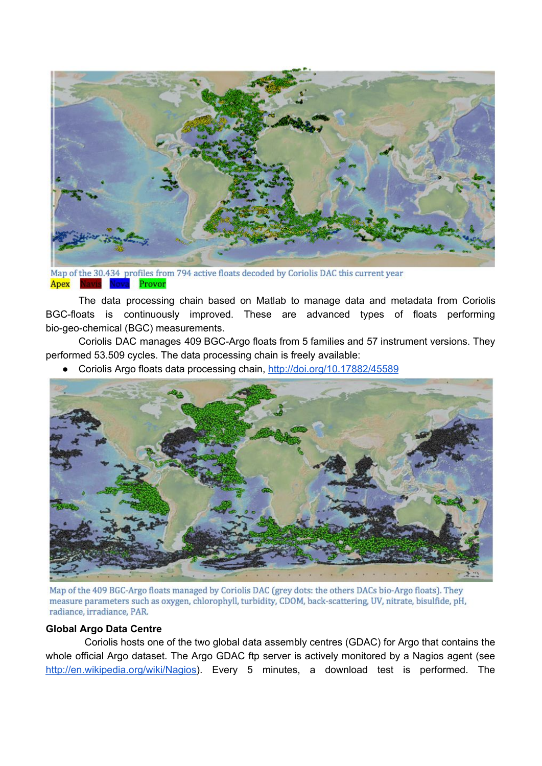

Map of the 30.434 profiles from 794 active floats decoded by Coriolis DAC this current year Apex Navis Nova Provor

The data processing chain based on Matlab to manage data and metadata from Coriolis BGC-floats is continuously improved. These are advanced types of floats performing bio-geo-chemical (BGC) measurements.

Coriolis DAC manages 409 BGC-Argo floats from 5 families and 57 instrument versions. They performed 53.509 cycles. The data processing chain is freely available:

● Coriolis Argo floats data processing chain, <http://doi.org/10.17882/45589>



Map of the 409 BGC-Argo floats managed by Coriolis DAC (grey dots: the others DACs bio-Argo floats). They measure parameters such as oxygen, chlorophyll, turbidity, CDOM, back-scattering, UV, nitrate, bisulfide, pH, radiance, irradiance, PAR.

#### **Global Argo Data Centre**

Coriolis hosts one of the two global data assembly centres (GDAC) for Argo that contains the whole official Argo dataset. The Argo GDAC ftp server is actively monitored by a Nagios agent (see <http://en.wikipedia.org/wiki/Nagios>). Every 5 minutes, a download test is performed. The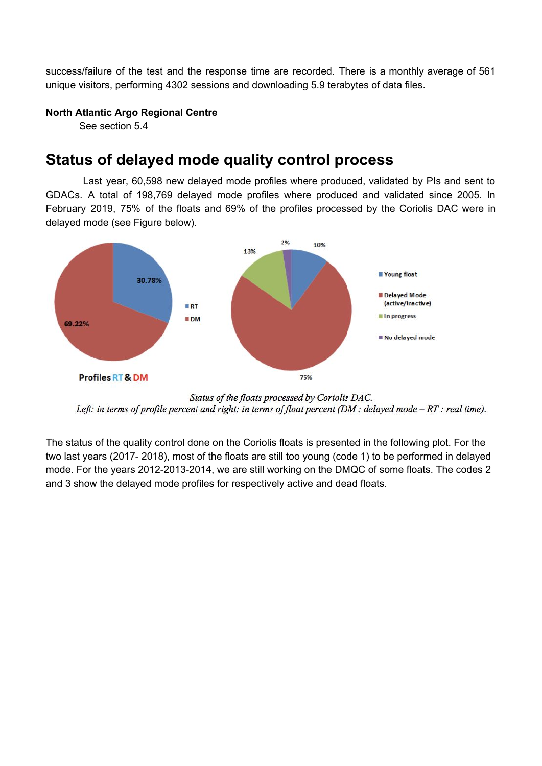success/failure of the test and the response time are recorded. There is a monthly average of 561 unique visitors, performing 4302 sessions and downloading 5.9 terabytes of data files.

#### **North Atlantic Argo Regional Centre**

See section 5.4

### <span id="page-7-0"></span>**Status of delayed mode quality control process**

Last year, 60,598 new delayed mode profiles where produced, validated by PIs and sent to GDACs. A total of 198,769 delayed mode profiles where produced and validated since 2005. In February 2019, 75% of the floats and 69% of the profiles processed by the Coriolis DAC were in delayed mode (see Figure below).



Status of the floats processed by Coriolis DAC. Left: in terms of profile percent and right: in terms of float percent (DM : delayed mode  $-RT$ : real time).

The status of the quality control done on the Coriolis floats is presented in the following plot. For the two last years (2017- 2018), most of the floats are still too young (code 1) to be performed in delayed mode. For the years 2012-2013-2014, we are still working on the DMQC of some floats. The codes 2 and 3 show the delayed mode profiles for respectively active and dead floats.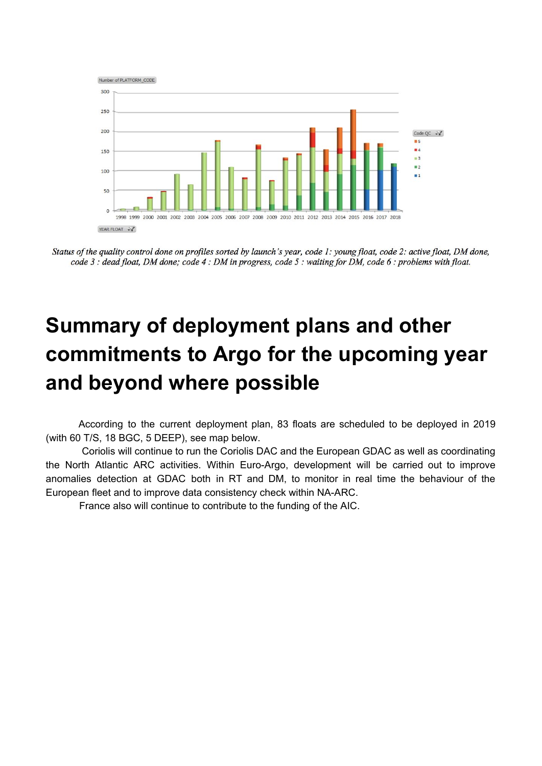

Status of the quality control done on profiles sorted by launch's year, code 1: young float, code 2: active float, DM done, code  $3$ : dead float, DM done; code  $4$ : DM in progress, code  $5$ : waiting for DM, code  $6$ : problems with float.

## <span id="page-8-0"></span>**Summary of deployment plans and other commitments to Argo for the upcoming year and beyond where possible**

According to the current deployment plan, 83 floats are scheduled to be deployed in 2019 (with 60 T/S, 18 BGC, 5 DEEP), see map below.

Coriolis will continue to run the Coriolis DAC and the European GDAC as well as coordinating the North Atlantic ARC activities. Within Euro-Argo, development will be carried out to improve anomalies detection at GDAC both in RT and DM, to monitor in real time the behaviour of the European fleet and to improve data consistency check within NA-ARC.

France also will continue to contribute to the funding of the AIC.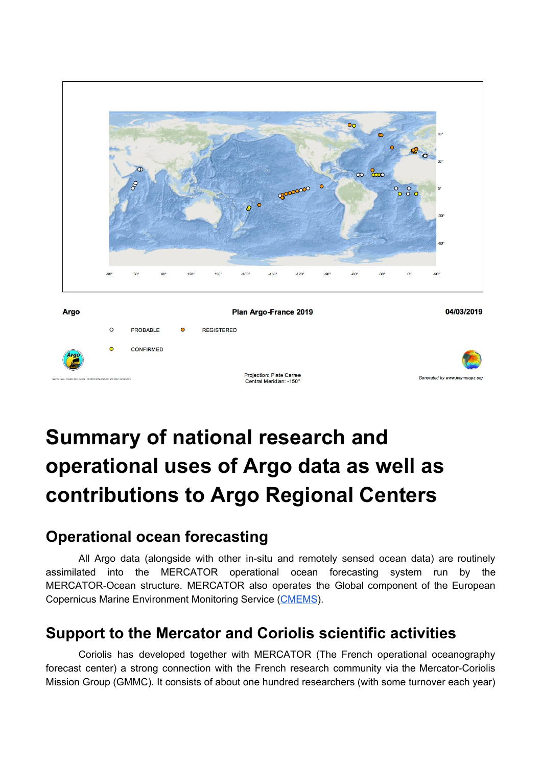

# <span id="page-9-0"></span>**Summary of national research and operational uses of Argo data as well as contributions to Argo Regional Centers**

## <span id="page-9-1"></span>**Operational ocean forecasting**

All Argo data (alongside with other in-situ and remotely sensed ocean data) are routinely assimilated into the MERCATOR operational ocean forecasting system run by the MERCATOR-Ocean structure. MERCATOR also operates the Global component of the European Copernicus Marine Environment Monitoring Service ([CMEMS](http://marine.copernicus.eu/)).

### <span id="page-9-2"></span>**Support to the Mercator and Coriolis scientific activities**

Coriolis has developed together with MERCATOR (The French operational oceanography forecast center) a strong connection with the French research community via the Mercator-Coriolis Mission Group (GMMC). It consists of about one hundred researchers (with some turnover each year)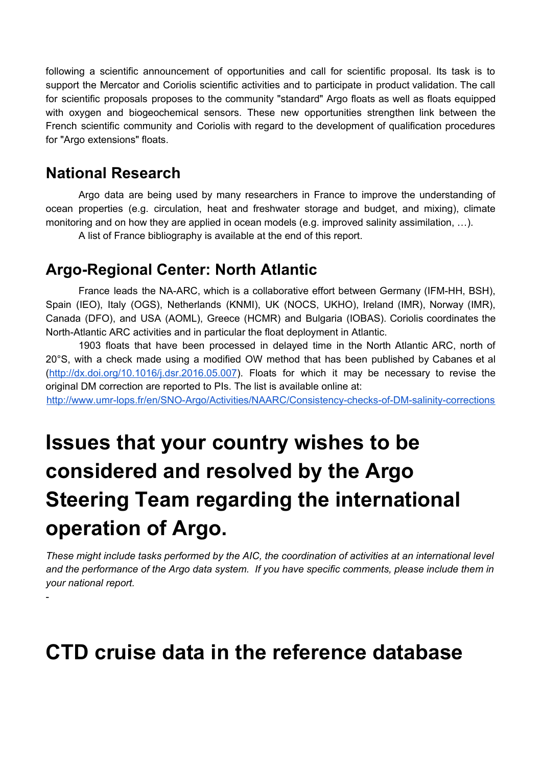following a scientific announcement of opportunities and call for scientific proposal. Its task is to support the Mercator and Coriolis scientific activities and to participate in product validation. The call for scientific proposals proposes to the community "standard" Argo floats as well as floats equipped with oxygen and biogeochemical sensors. These new opportunities strengthen link between the French scientific community and Coriolis with regard to the development of qualification procedures for "Argo extensions" floats.

### <span id="page-10-0"></span>**National Research**

-

Argo data are being used by many researchers in France to improve the understanding of ocean properties (e.g. circulation, heat and freshwater storage and budget, and mixing), climate monitoring and on how they are applied in ocean models (e.g. improved salinity assimilation, …).

A list of France bibliography is available at the end of this report.

### <span id="page-10-1"></span>**Argo-Regional Center: North Atlantic**

France leads the NA-ARC, which is a collaborative effort between Germany (IFM-HH, BSH), Spain (IEO), Italy (OGS), Netherlands (KNMI), UK (NOCS, UKHO), Ireland (IMR), Norway (IMR), Canada (DFO), and USA (AOML), Greece (HCMR) and Bulgaria (IOBAS). Coriolis coordinates the North-Atlantic ARC activities and in particular the float deployment in Atlantic.

1903 floats that have been processed in delayed time in the North Atlantic ARC, north of 20°S, with a check made using a modified OW method that has been published by Cabanes et al [\(http://dx.doi.org/10.1016/j.dsr.2016.05.007](http://dx.doi.org/10.1016/j.dsr.2016.05.007)). Floats for which it may be necessary to revise the original DM correction are reported to PIs. The list is available online at:

<span id="page-10-2"></span><http://www.umr-lops.fr/en/SNO-Argo/Activities/NAARC/Consistency-checks-of-DM-salinity-corrections>

# **Issues that your country wishes to be considered and resolved by the Argo Steering Team regarding the international operation of Argo.**

*These might include tasks performed by the AIC, the coordination of activities at an international level and the performance of the Argo data system. If you have specific comments, please include them in your national report.*

## <span id="page-10-3"></span>**CTD cruise data in the reference database**